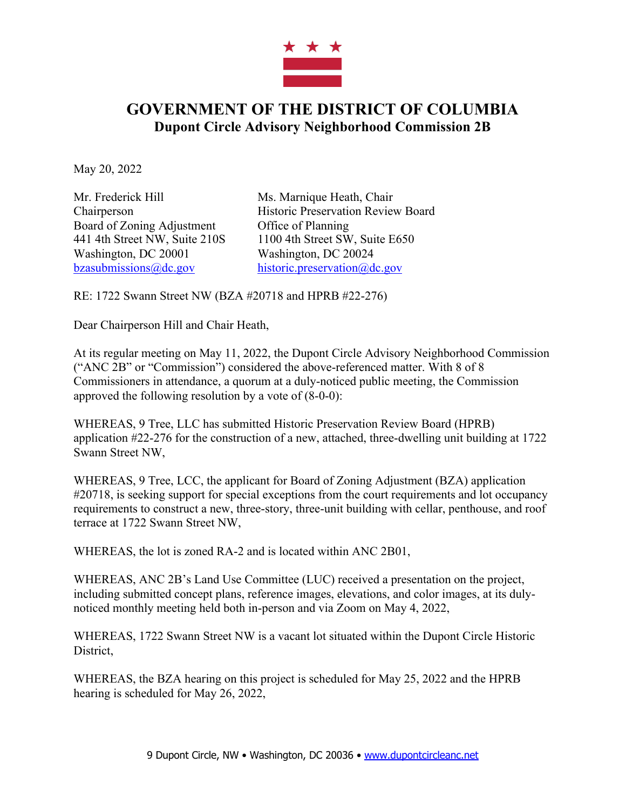

## **GOVERNMENT OF THE DISTRICT OF COLUMBIA Dupont Circle Advisory Neighborhood Commission 2B**

May 20, 2022

Mr. Frederick Hill Ms. Marnique Heath, Chair Board of Zoning Adjustment Office of Planning Washington, DC 20001 Washington, DC 20024 bzasubmissions@dc.gov historic.preservation@dc.gov

Chairperson Historic Preservation Review Board 441 4th Street NW, Suite 210S 1100 4th Street SW, Suite E650

RE: 1722 Swann Street NW (BZA #20718 and HPRB #22-276)

Dear Chairperson Hill and Chair Heath,

At its regular meeting on May 11, 2022, the Dupont Circle Advisory Neighborhood Commission ("ANC 2B" or "Commission") considered the above-referenced matter. With 8 of 8 Commissioners in attendance, a quorum at a duly-noticed public meeting, the Commission approved the following resolution by a vote of (8-0-0):

WHEREAS, 9 Tree, LLC has submitted Historic Preservation Review Board (HPRB) application #22-276 for the construction of a new, attached, three-dwelling unit building at 1722 Swann Street NW,

WHEREAS, 9 Tree, LCC, the applicant for Board of Zoning Adjustment (BZA) application #20718, is seeking support for special exceptions from the court requirements and lot occupancy requirements to construct a new, three-story, three-unit building with cellar, penthouse, and roof terrace at 1722 Swann Street NW,

WHEREAS, the lot is zoned RA-2 and is located within ANC 2B01,

WHEREAS, ANC 2B's Land Use Committee (LUC) received a presentation on the project, including submitted concept plans, reference images, elevations, and color images, at its dulynoticed monthly meeting held both in-person and via Zoom on May 4, 2022,

WHEREAS, 1722 Swann Street NW is a vacant lot situated within the Dupont Circle Historic District,

WHEREAS, the BZA hearing on this project is scheduled for May 25, 2022 and the HPRB hearing is scheduled for May 26, 2022,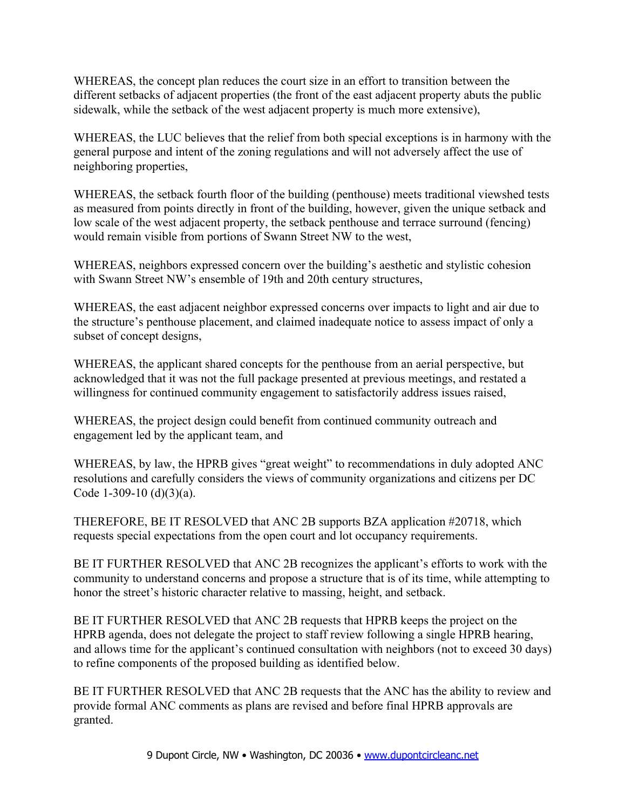WHEREAS, the concept plan reduces the court size in an effort to transition between the different setbacks of adjacent properties (the front of the east adjacent property abuts the public sidewalk, while the setback of the west adjacent property is much more extensive),

WHEREAS, the LUC believes that the relief from both special exceptions is in harmony with the general purpose and intent of the zoning regulations and will not adversely affect the use of neighboring properties,

WHEREAS, the setback fourth floor of the building (penthouse) meets traditional viewshed tests as measured from points directly in front of the building, however, given the unique setback and low scale of the west adjacent property, the setback penthouse and terrace surround (fencing) would remain visible from portions of Swann Street NW to the west,

WHEREAS, neighbors expressed concern over the building's aesthetic and stylistic cohesion with Swann Street NW's ensemble of 19th and 20th century structures,

WHEREAS, the east adjacent neighbor expressed concerns over impacts to light and air due to the structure's penthouse placement, and claimed inadequate notice to assess impact of only a subset of concept designs,

WHEREAS, the applicant shared concepts for the penthouse from an aerial perspective, but acknowledged that it was not the full package presented at previous meetings, and restated a willingness for continued community engagement to satisfactorily address issues raised,

WHEREAS, the project design could benefit from continued community outreach and engagement led by the applicant team, and

WHEREAS, by law, the HPRB gives "great weight" to recommendations in duly adopted ANC resolutions and carefully considers the views of community organizations and citizens per DC Code 1-309-10 (d) $(3)(a)$ .

THEREFORE, BE IT RESOLVED that ANC 2B supports BZA application #20718, which requests special expectations from the open court and lot occupancy requirements.

BE IT FURTHER RESOLVED that ANC 2B recognizes the applicant's efforts to work with the community to understand concerns and propose a structure that is of its time, while attempting to honor the street's historic character relative to massing, height, and setback.

BE IT FURTHER RESOLVED that ANC 2B requests that HPRB keeps the project on the HPRB agenda, does not delegate the project to staff review following a single HPRB hearing, and allows time for the applicant's continued consultation with neighbors (not to exceed 30 days) to refine components of the proposed building as identified below.

BE IT FURTHER RESOLVED that ANC 2B requests that the ANC has the ability to review and provide formal ANC comments as plans are revised and before final HPRB approvals are granted.